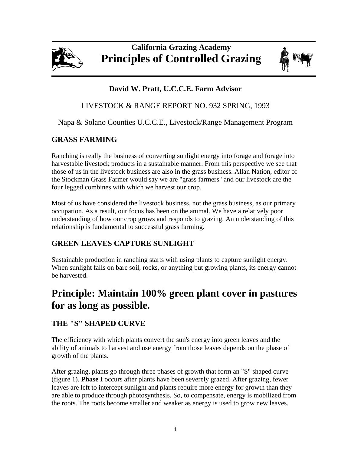

# **California Grazing Academy Principles of Controlled Grazing**



## **David W. Pratt, U.C.C.E. Farm Advisor**

## LIVESTOCK & RANGE REPORT NO. 932 SPRING, 1993

Napa & Solano Counties U.C.C.E., Livestock/Range Management Program

## **GRASS FARMING**

Ranching is really the business of converting sunlight energy into forage and forage into harvestable livestock products in a sustainable manner. From this perspective we see that those of us in the livestock business are also in the grass business. Allan Nation, editor of the Stockman Grass Farmer would say we are "grass farmers" and our livestock are the four legged combines with which we harvest our crop.

Most of us have considered the livestock business, not the grass business, as our primary occupation. As a result, our focus has been on the animal. We have a relatively poor understanding of how our crop grows and responds to grazing. An understanding of this relationship is fundamental to successful grass farming.

# **GREEN LEAVES CAPTURE SUNLIGHT**

Sustainable production in ranching starts with using plants to capture sunlight energy. When sunlight falls on bare soil, rocks, or anything but growing plants, its energy cannot be harvested.

# **Principle: Maintain 100% green plant cover in pastures for as long as possible.**

# **THE "S" SHAPED CURVE**

The efficiency with which plants convert the sun's energy into green leaves and the ability of animals to harvest and use energy from those leaves depends on the phase of growth of the plants.

After grazing, plants go through three phases of growth that form an "S" shaped curve (figure 1). **Phase I** occurs after plants have been severely grazed. After grazing, fewer leaves are left to intercept sunlight and plants require more energy for growth than they are able to produce through photosynthesis. So, to compensate, energy is mobilized from the roots. The roots become smaller and weaker as energy is used to grow new leaves.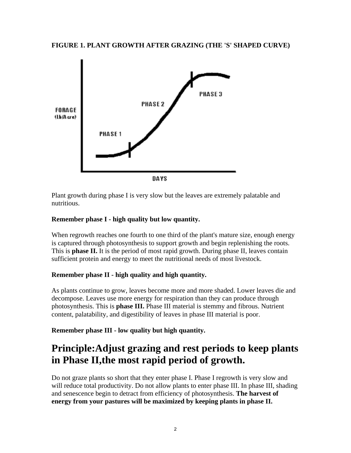#### **FIGURE 1. PLANT GROWTH AFTER GRAZING (THE 'S' SHAPED CURVE)**



Plant growth during phase I is very slow but the leaves are extremely palatable and nutritious.

### **Remember phase I - high quality but low quantity.**

When regrowth reaches one fourth to one third of the plant's mature size, enough energy is captured through photosynthesis to support growth and begin replenishing the roots. This is **phase II.** It is the period of most rapid growth. During phase II, leaves contain sufficient protein and energy to meet the nutritional needs of most livestock.

#### **Remember phase II - high quality and high quantity.**

As plants continue to grow, leaves become more and more shaded. Lower leaves die and decompose. Leaves use more energy for respiration than they can produce through photosynthesis. This is **phase III.** Phase III material is stemmy and fibrous. Nutrient content, palatability, and digestibility of leaves in phase III material is poor.

**Remember phase III - low quality but high quantity.** 

# **Principle:Adjust grazing and rest periods to keep plants in Phase II,the most rapid period of growth.**

Do not graze plants so short that they enter phase I. Phase I regrowth is very slow and will reduce total productivity. Do not allow plants to enter phase III. In phase III, shading and senescence begin to detract from efficiency of photosynthesis. **The harvest of energy from your pastures will be maximized by keeping plants in phase II.**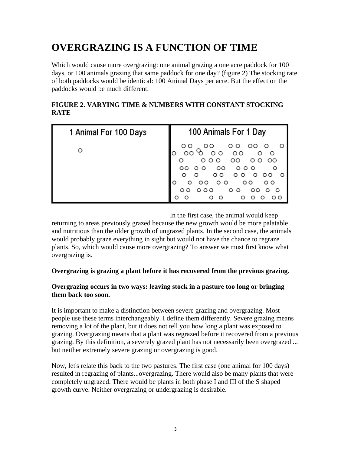# **OVERGRAZING IS A FUNCTION OF TIME**

Which would cause more overgrazing: one animal grazing a one acre paddock for 100 days, or 100 animals grazing that same paddock for one day? (figure 2) The stocking rate of both paddocks would be identical: 100 Animal Days per acre. But the effect on the paddocks would be much different.

## **FIGURE 2. VARYING TIME & NUMBERS WITH CONSTANT STOCKING RATE**

| 1 Animal For 100 Days | 100 Animals For 1 Day                                       |
|-----------------------|-------------------------------------------------------------|
| O                     | $\circ$                                                     |
|                       | oo<br>O<br>$\circ$<br>O<br>$\circ$<br>$\circ$ $\circ$<br>oο |

In the first case, the animal would keep

returning to areas previously grazed because the new growth would be more palatable and nutritious than the older growth of ungrazed plants. In the second case, the animals would probably graze everything in sight but would not have the chance to regraze plants. So, which would cause more overgrazing? To answer we must first know what overgrazing is.

### **Overgrazing is grazing a plant before it has recovered from the previous grazing.**

#### **Overgrazing occurs in two ways: leaving stock in a pasture too long or bringing them back too soon.**

It is important to make a distinction between severe grazing and overgrazing. Most people use these terms interchangeably. I define them differently. Severe grazing means removing a lot of the plant, but it does not tell you how long a plant was exposed to grazing. Overgrazing means that a plant was regrazed before it recovered from a previous grazing. By this definition, a severely grazed plant has not necessarily been overgrazed ... but neither extremely severe grazing or overgrazing is good.

Now, let's relate this back to the two pastures. The first case (one animal for 100 days) resulted in regrazing of plants...overgrazing. There would also be many plants that were completely ungrazed. There would be plants in both phase I and III of the S shaped growth curve. Neither overgrazing or undergrazing is desirable.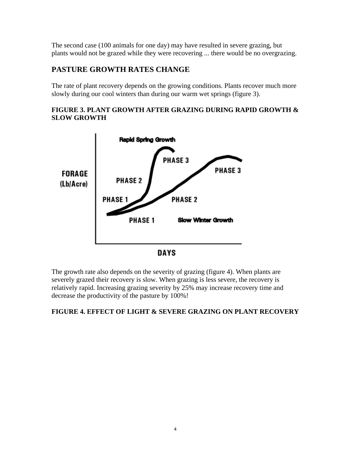The second case (100 animals for one day) may have resulted in severe grazing, but plants would not be grazed while they were recovering ... there would be no overgrazing.

## **PASTURE GROWTH RATES CHANGE**

The rate of plant recovery depends on the growing conditions. Plants recover much more slowly during our cool winters than during our warm wet springs (figure 3).

### **FIGURE 3. PLANT GROWTH AFTER GRAZING DURING RAPID GROWTH & SLOW GROWTH**



**DAYS** 

The growth rate also depends on the severity of grazing (figure 4). When plants are severely grazed their recovery is slow. When grazing is less severe, the recovery is relatively rapid. Increasing grazing severity by 25% may increase recovery time and decrease the productivity of the pasture by 100%!

## **FIGURE 4. EFFECT OF LIGHT & SEVERE GRAZING ON PLANT RECOVERY**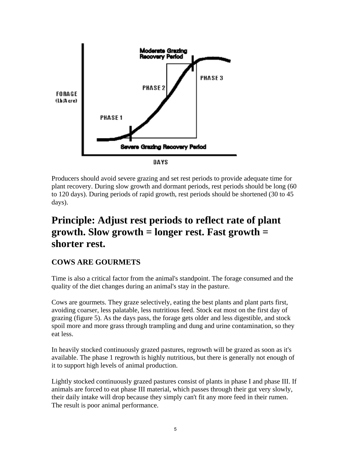

Producers should avoid severe grazing and set rest periods to provide adequate time for plant recovery. During slow growth and dormant periods, rest periods should be long (60 to 120 days). During periods of rapid growth, rest periods should be shortened (30 to 45 days).

# **Principle: Adjust rest periods to reflect rate of plant growth. Slow growth = longer rest. Fast growth = shorter rest.**

# **COWS ARE GOURMETS**

Time is also a critical factor from the animal's standpoint. The forage consumed and the quality of the diet changes during an animal's stay in the pasture.

Cows are gourmets. They graze selectively, eating the best plants and plant parts first, avoiding coarser, less palatable, less nutritious feed. Stock eat most on the first day of grazing (figure 5). As the days pass, the forage gets older and less digestible, and stock spoil more and more grass through trampling and dung and urine contamination, so they eat less.

In heavily stocked continuously grazed pastures, regrowth will be grazed as soon as it's available. The phase 1 regrowth is highly nutritious, but there is generally not enough of it to support high levels of animal production.

Lightly stocked continuously grazed pastures consist of plants in phase I and phase III. If animals are forced to eat phase III material, which passes through their gut very slowly, their daily intake will drop because they simply can't fit any more feed in their rumen. The result is poor animal performance.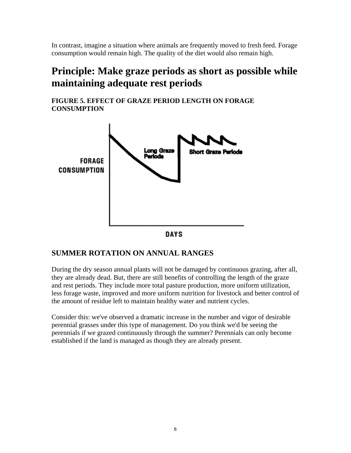In contrast, imagine a situation where animals are frequently moved to fresh feed. Forage consumption would remain high. The quality of the diet would also remain high.

# **Principle: Make graze periods as short as possible while maintaining adequate rest periods**

**FIGURE 5. EFFECT OF GRAZE PERIOD LENGTH ON FORAGE CONSUMPTION**



## **SUMMER ROTATION ON ANNUAL RANGES**

During the dry season annual plants will not be damaged by continuous grazing, after all, they are already dead. But, there are still benefits of controlling the length of the graze and rest periods. They include more total pasture production, more uniform utilization, less forage waste, improved and more uniform nutrition for livestock and better control of the amount of residue left to maintain healthy water and nutrient cycles.

Consider this: we've observed a dramatic increase in the number and vigor of desirable perennial grasses under this type of management. Do you think we'd be seeing the perennials if we grazed continuously through the summer? Perennials can only become established if the land is managed as though they are already present.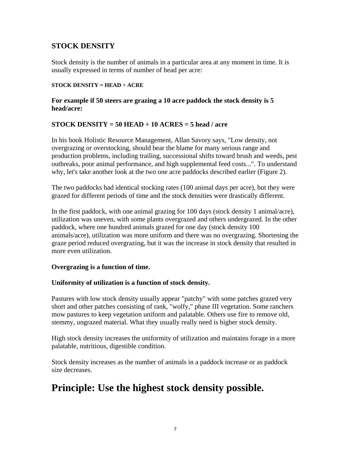## **STOCK DENSITY**

Stock density is the number of animals in a particular area at any moment in time. It is usually expressed in terms of number of head per acre:

#### **STOCK DENSITY = HEAD ÷ ACRE**

#### **For example if 50 steers are grazing a 10 acre paddock the stock density is 5 head/acre:**

### **STOCK DENSITY = 50 HEAD ÷ 10 ACRES = 5 head / acre**

In his book Holistic Resource Management, Allan Savory says, "Low density, not overgrazing or overstocking, should bear the blame for many serious range and production problems, including trailing, successional shifts toward brush and weeds, pest outbreaks, poor animal performance, and high supplemental feed costs...". To understand why, let's take another look at the two one acre paddocks described earlier (Figure 2).

The two paddocks had identical stocking rates (100 animal days per acre), but they were grazed for different periods of time and the stock densities were drastically different.

In the first paddock, with one animal grazing for 100 days (stock density 1 animal/acre), utilization was uneven, with some plants overgrazed and others undergrazed. In the other paddock, where one hundred animals grazed for one day (stock density 100 animals/acre), utilization was more uniform and there was no overgrazing. Shortening the graze period reduced overgrazing, but it was the increase in stock density that resulted in more even utilization.

#### **Overgrazing is a function of time.**

#### **Uniformity of utilization is a function of stock density.**

Pastures with low stock density usually appear "patchy" with some patches grazed very short and other patches consisting of rank, "wolfy," phase III vegetation. Some ranchers mow pastures to keep vegetation uniform and palatable. Others use fire to remove old, stemmy, ungrazed material. What they usually really need is higher stock density.

High stock density increases the uniformity of utilization and maintains forage in a more palatable, nutritious, digestible condition.

Stock density increases as the number of animals in a paddock increase or as paddock size decreases.

# **Principle: Use the highest stock density possible.**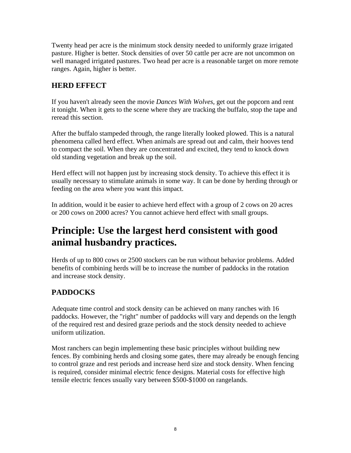Twenty head per acre is the minimum stock density needed to uniformly graze irrigated pasture. Higher is better. Stock densities of over 50 cattle per acre are not uncommon on well managed irrigated pastures. Two head per acre is a reasonable target on more remote ranges. Again, higher is better.

## **HERD EFFECT**

If you haven't already seen the movie *Dances With Wolves*, get out the popcorn and rent it tonight. When it gets to the scene where they are tracking the buffalo, stop the tape and reread this section.

After the buffalo stampeded through, the range literally looked plowed. This is a natural phenomena called herd effect. When animals are spread out and calm, their hooves tend to compact the soil. When they are concentrated and excited, they tend to knock down old standing vegetation and break up the soil.

Herd effect will not happen just by increasing stock density. To achieve this effect it is usually necessary to stimulate animals in some way. It can be done by herding through or feeding on the area where you want this impact.

In addition, would it be easier to achieve herd effect with a group of 2 cows on 20 acres or 200 cows on 2000 acres? You cannot achieve herd effect with small groups.

# **Principle: Use the largest herd consistent with good animal husbandry practices.**

Herds of up to 800 cows or 2500 stockers can be run without behavior problems. Added benefits of combining herds will be to increase the number of paddocks in the rotation and increase stock density.

# **PADDOCKS**

Adequate time control and stock density can be achieved on many ranches with 16 paddocks. However, the "right" number of paddocks will vary and depends on the length of the required rest and desired graze periods and the stock density needed to achieve uniform utilization.

Most ranchers can begin implementing these basic principles without building new fences. By combining herds and closing some gates, there may already be enough fencing to control graze and rest periods and increase herd size and stock density. When fencing is required, consider minimal electric fence designs. Material costs for effective high tensile electric fences usually vary between \$500-\$1000 on rangelands.